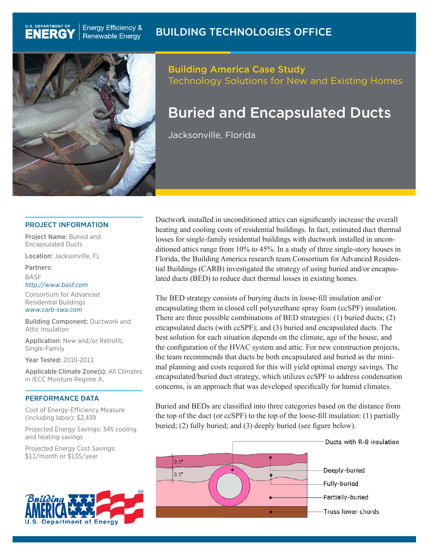

**Energy Efficiency &** 

**Renewable Energy** 

**U.S. DEPARTMENT OF** 

**ENERG** 

# Building America Case Study Technology Solutions for New and Existing Homes

# Buried and Encapsulated Ducts

Jacksonville, Florida

#### PROJECT INFORMATION

Project Name: Buried and Encapsulated Ducts

Location: Jacksonville, FL

Partners:

BASF *http://www.basf.com*

Consortium for Advanced Residential Buildings *www.carb-swa.com*

Building Component: Ductwork and Attic Insulation

Application: New and/or Retrofit; Single-Family

Year Tested: 2010-2011

Applicable Climate Zone(s): All Climates in IECC Moisture Regime A.

#### PERFORMANCE DATA

Cost of Energy-Efficiency Measure (including labor): \$2,439

Projected Energy Savings: 34% cooling and heating savings

Projected Energy Cost Savings: \$11/month or \$135/year



Ductwork installed in unconditioned attics can significantly increase the overall heating and cooling costs of residential buildings. In fact, estimated duct thermal losses for single-family residential buildings with ductwork installed in unconditioned attics range from 10% to 45%. In a study of three single-story houses in Florida, the Building America research team Consortium for Advanced Residential Buildings (CARB) investigated the strategy of using buried and/or encapsulated ducts (BED) to reduce duct thermal losses in existing homes.

The BED strategy consists of burying ducts in loose-fill insulation and/or encapsulating them in closed cell polyurethane spray foam (ccSPF) insulation. There are three possible combinations of BED strategies: (1) buried ducts; (2) encapsulated ducts (with ccSPF); and (3) buried and encapsulated ducts. The best solution for each situation depends on the climate, age of the house, and the configuration of the HVAC system and attic. For new construction projects, the team recommends that ducts be both encapsulated and buried as the minimal planning and costs required for this will yield optimal energy savings. The encapsulated/buried duct strategy, which utilizes ccSPF to address condensation concerns, is an approach that was developed specifically for humid climates.

Buried and BEDs are classified into three categories based on the distance from the top of the duct (or ccSPF) to the top of the loose-fill insulation: (1) partially buried; (2) fully buried; and (3) deeply buried (see figure below).